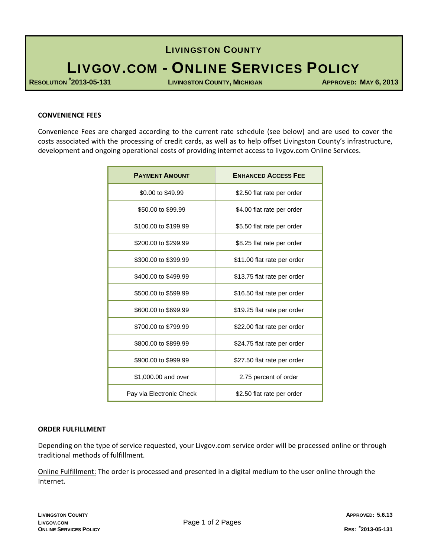## LIVINGSTON COUNTY

# LIVGOV.COM - ONLINE SERVICES POLICY

**RESOLUTION #**

**2013-05-131 LIVINGSTON COUNTY, MICHIGAN APPROVED: MAY 6, 2013**

#### **CONVENIENCE FEES**

Convenience Fees are charged according to the current rate schedule (see below) and are used to cover the costs associated with the processing of credit cards, as well as to help offset Livingston County's infrastructure, development and ongoing operational costs of providing internet access to livgov.com Online Services.

| <b>PAYMENT AMOUNT</b>    | <b>ENHANCED ACCESS FEE</b>  |
|--------------------------|-----------------------------|
| \$0.00 to \$49.99        | \$2.50 flat rate per order  |
| \$50.00 to \$99.99       | \$4.00 flat rate per order  |
| \$100.00 to \$199.99     | \$5.50 flat rate per order  |
| \$200.00 to \$299.99     | \$8.25 flat rate per order  |
| \$300.00 to \$399.99     | \$11.00 flat rate per order |
| \$400.00 to \$499.99     | \$13.75 flat rate per order |
| \$500.00 to \$599.99     | \$16.50 flat rate per order |
| \$600.00 to \$699.99     | \$19.25 flat rate per order |
| \$700.00 to \$799.99     | \$22.00 flat rate per order |
| \$800.00 to \$899.99     | \$24.75 flat rate per order |
| \$900.00 to \$999.99     | \$27.50 flat rate per order |
| \$1,000.00 and over      | 2.75 percent of order       |
| Pay via Electronic Check | \$2.50 flat rate per order  |

#### **ORDER FULFILLMENT**

Depending on the type of service requested, your Livgov.com service order will be processed online or through traditional methods of fulfillment.

Online Fulfillment: The order is processed and presented in a digital medium to the user online through the Internet.